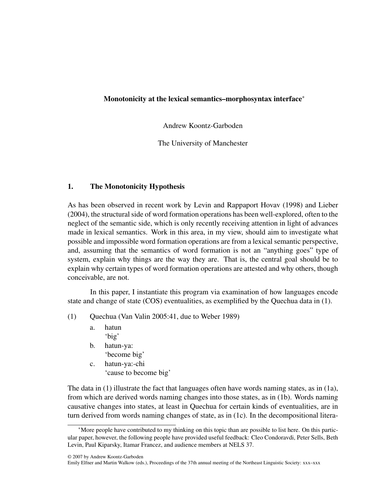# Monotonicity at the lexical semantics–morphosyntax interface<sup>∗</sup>

Andrew Koontz-Garboden

The University of Manchester

# 1. The Monotonicity Hypothesis

As has been observed in recent work by Levin and Rappaport Hovav (1998) and Lieber (2004), the structural side of word formation operations has been well-explored, often to the neglect of the semantic side, which is only recently receiving attention in light of advances made in lexical semantics. Work in this area, in my view, should aim to investigate what possible and impossible word formation operations are from a lexical semantic perspective, and, assuming that the semantics of word formation is not an "anything goes" type of system, explain why things are the way they are. That is, the central goal should be to explain why certain types of word formation operations are attested and why others, though conceivable, are not.

In this paper, I instantiate this program via examination of how languages encode state and change of state (COS) eventualities, as exemplified by the Quechua data in (1).

- (1) Quechua (Van Valin 2005:41, due to Weber 1989)
	- a. hatun 'big'
	- b. hatun-ya:
		- 'become big'
	- c. hatun-ya:-chi 'cause to become big'

The data in (1) illustrate the fact that languages often have words naming states, as in (1a), from which are derived words naming changes into those states, as in (1b). Words naming causative changes into states, at least in Quechua for certain kinds of eventualities, are in turn derived from words naming changes of state, as in (1c). In the decompositional litera-

<sup>∗</sup>More people have contributed to my thinking on this topic than are possible to list here. On this particular paper, however, the following people have provided useful feedback: Cleo Condoravdi, Peter Sells, Beth Levin, Paul Kiparsky, Itamar Francez, and audience members at NELS 37.

<sup>© 2007</sup> by Andrew Koontz-Garboden

Emily Elfner and Martin Walkow (eds.), Proceedings of the 37th annual meeting of the Northeast Linguistic Society: xxx–xxx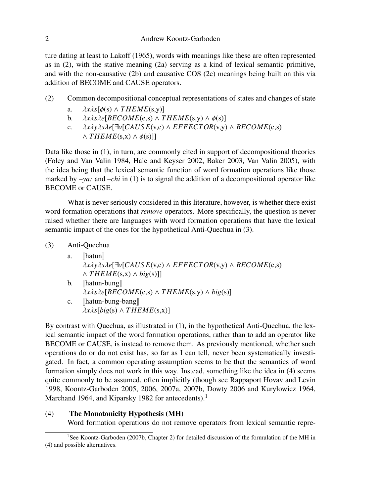ture dating at least to Lakoff (1965), words with meanings like these are often represented as in (2), with the stative meaning (2a) serving as a kind of lexical semantic primitive, and with the non-causative (2b) and causative COS (2c) meanings being built on this via addition of BECOME and CAUSE operators.

- (2) Common decompositional conceptual representations of states and changes of state
	- a.  $\lambda x\lambda s[\phi(s) \wedge THEME(s,y)]$ <br>b.  $\lambda x\lambda s\lambda e[BECOME(e,s) \wedge T]$
	- b.  $\lambda x \lambda s \lambda e[BECOME(e,s) \wedge THEME(s,y) \wedge \phi(s)]$ <br>c.  $\lambda x \lambda y \lambda s \lambda e[Jv[CAUSE(v,e) \wedge EFFECTOR(v,v)]$
	- c. λ*x*λ*y*λ*s*λ*e*[∃*v*[*CAUS E*(v,e) <sup>∧</sup> *EFFECTOR*(v,y) <sup>∧</sup> *BECOME*(e,s)  $\land$  *THEME*(s,x)  $\land$   $\phi$ (s)]]

Data like those in (1), in turn, are commonly cited in support of decompositional theories (Foley and Van Valin 1984, Hale and Keyser 2002, Baker 2003, Van Valin 2005), with the idea being that the lexical semantic function of word formation operations like those marked by *–ya:* and *–chi* in (1) is to signal the addition of a decompositional operator like BECOME or CAUSE.

What is never seriously considered in this literature, however, is whether there exist word formation operations that *remove* operators. More specifically, the question is never raised whether there are languages with word formation operations that have the lexical semantic impact of the ones for the hypothetical Anti-Quechua in (3).

- (3) Anti-Quechua
	- a. [hatun] λ*x*λ*y*λ*s*λ*e*[∃*v*[*CAUS E*(v,e) <sup>∧</sup> *EFFECTOR*(v,y) <sup>∧</sup> *BECOME*(e,s) ∧ *T HEME*(s,x) ∧ *big*(s)]]  $b.$  [hatun-bung]
		- λ*x*λ*s*λ*e*[*BECOME*(e,s) <sup>∧</sup> *T HEME*(s,y) <sup>∧</sup> *big*(s)]
	- c.  $\llbracket$ hatun-bung-bang  $\lambda x\lambda s[big(s) \wedge THEME(s,x)]$

By contrast with Quechua, as illustrated in (1), in the hypothetical Anti-Quechua, the lexical semantic impact of the word formation operations, rather than to add an operator like BECOME or CAUSE, is instead to remove them. As previously mentioned, whether such operations do or do not exist has, so far as I can tell, never been systematically investigated. In fact, a common operating assumption seems to be that the semantics of word formation simply does not work in this way. Instead, something like the idea in (4) seems quite commonly to be assumed, often implicitly (though see Rappaport Hovav and Levin 1998, Koontz-Garboden 2005, 2006, 2007a, 2007b, Dowty 2006 and Kuryłowicz 1964, Marchand 1964, and Kiparsky 1982 for antecedents).<sup>1</sup>

### (4) The Monotonicity Hypothesis (MH)

Word formation operations do not remove operators from lexical semantic repre-

<sup>&</sup>lt;sup>1</sup>See Koontz-Garboden (2007b, Chapter 2) for detailed discussion of the formulation of the MH in (4) and possible alternatives.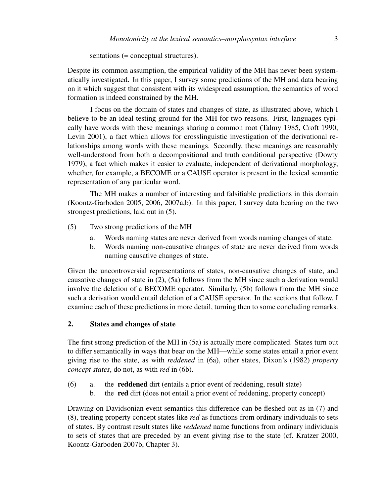sentations (= conceptual structures).

Despite its common assumption, the empirical validity of the MH has never been systematically investigated. In this paper, I survey some predictions of the MH and data bearing on it which suggest that consistent with its widespread assumption, the semantics of word formation is indeed constrained by the MH.

I focus on the domain of states and changes of state, as illustrated above, which I believe to be an ideal testing ground for the MH for two reasons. First, languages typically have words with these meanings sharing a common root (Talmy 1985, Croft 1990, Levin 2001), a fact which allows for crosslinguistic investigation of the derivational relationships among words with these meanings. Secondly, these meanings are reasonably well-understood from both a decompositional and truth conditional perspective (Dowty 1979), a fact which makes it easier to evaluate, independent of derivational morphology, whether, for example, a BECOME or a CAUSE operator is present in the lexical semantic representation of any particular word.

The MH makes a number of interesting and falsifiable predictions in this domain (Koontz-Garboden 2005, 2006, 2007a,b). In this paper, I survey data bearing on the two strongest predictions, laid out in (5).

- (5) Two strong predictions of the MH
	- a. Words naming states are never derived from words naming changes of state.
	- b. Words naming non-causative changes of state are never derived from words naming causative changes of state.

Given the uncontroversial representations of states, non-causative changes of state, and causative changes of state in (2), (5a) follows from the MH since such a derivation would involve the deletion of a BECOME operator. Similarly, (5b) follows from the MH since such a derivation would entail deletion of a CAUSE operator. In the sections that follow, I examine each of these predictions in more detail, turning then to some concluding remarks.

# 2. States and changes of state

The first strong prediction of the MH in (5a) is actually more complicated. States turn out to differ semantically in ways that bear on the MH—while some states entail a prior event giving rise to the state, as with *reddened* in (6a), other states, Dixon's (1982) *property concept states*, do not, as with *red* in (6b).

- (6) a. the reddened dirt (entails a prior event of reddening, result state)
	- b. the red dirt (does not entail a prior event of reddening, property concept)

Drawing on Davidsonian event semantics this difference can be fleshed out as in (7) and (8), treating property concept states like *red* as functions from ordinary individuals to sets of states. By contrast result states like *reddened* name functions from ordinary individuals to sets of states that are preceded by an event giving rise to the state (cf. Kratzer 2000, Koontz-Garboden 2007b, Chapter 3).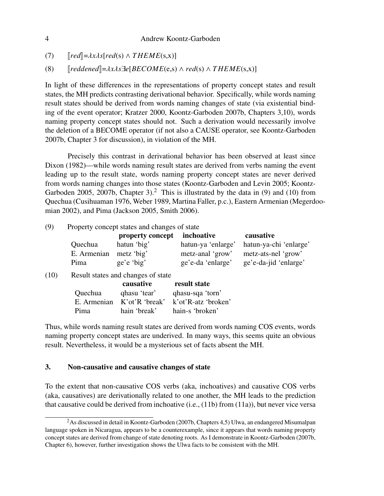(7)  $\left[ \text{red} \right] = \lambda x \lambda s [\text{red}(s) \wedge \text{THEME}(s, x)]$ <br>(8)  $\left[ \text{reddened} \right] = \lambda x \lambda s \exists \text{el} [\text{BECOME}(e, s)]$ 

 $\lceil \text{reddened} \rceil = \lambda x \lambda s \exists e [BECOME(e,s) \land \text{red}(s) \land \text{THEME}(s,x)]$ 

In light of these differences in the representations of property concept states and result states, the MH predicts contrasting derivational behavior. Specifically, while words naming result states should be derived from words naming changes of state (via existential binding of the event operator; Kratzer 2000, Koontz-Garboden 2007b, Chapters 3,10), words naming property concept states should not. Such a derivation would necessarily involve the deletion of a BECOME operator (if not also a CAUSE operator, see Koontz-Garboden 2007b, Chapter 3 for discussion), in violation of the MH.

Precisely this contrast in derivational behavior has been observed at least since Dixon (1982)—while words naming result states are derived from verbs naming the event leading up to the result state, words naming property concept states are never derived from words naming changes into those states (Koontz-Garboden and Levin 2005; Koontz-Garboden 2005, 2007b, Chapter 3).<sup>2</sup> This is illustrated by the data in (9) and (10) from Quechua (Cusihuaman 1976, Weber 1989, Martina Faller, p.c.), Eastern Armenian (Megerdoomian 2002), and Pima (Jackson 2005, Smith 2006).

(9) Property concept states and changes of state

|                        | property concept inchoative |                    | causative              |
|------------------------|-----------------------------|--------------------|------------------------|
| Quechua                | hatun 'big'                 | hatun-ya 'enlarge' | hatun-ya-chi 'enlarge' |
| E. Armenian metz 'big' |                             | metz-anal 'grow'   | metz-ats-nel 'grow'    |
| Pima                   | ge'e'big'                   | ge'e-da 'enlarge'  | ge'e-da-jid 'enlarge'  |

(10) Result states and changes of state

|             | causative      | result state        |
|-------------|----------------|---------------------|
| Quechua     | qhasu 'tear'   | qhasu-sqa 'torn'    |
| E. Armenian | K'ot'R 'break' | k'ot'R-atz 'broken' |
| Pima        | hain 'break'   | hain-s 'broken'     |

Thus, while words naming result states are derived from words naming COS events, words naming property concept states are underived. In many ways, this seems quite an obvious result. Nevertheless, it would be a mysterious set of facts absent the MH.

## 3. Non-causative and causative changes of state

To the extent that non-causative COS verbs (aka, inchoatives) and causative COS verbs (aka, causatives) are derivationally related to one another, the MH leads to the prediction that causative could be derived from inchoative (i.e., (11b) from (11a)), but never vice versa

$$
\boldsymbol{4}
$$

<sup>&</sup>lt;sup>2</sup>As discussed in detail in Koontz-Garboden (2007b, Chapters 4,5) Ulwa, an endangered Misumalpan language spoken in Nicaragua, appears to be a counterexample, since it appears that words naming property concept states are derived from change of state denoting roots. As I demonstrate in Koontz-Garboden (2007b, Chapter 6), however, further investigation shows the Ulwa facts to be consistent with the MH.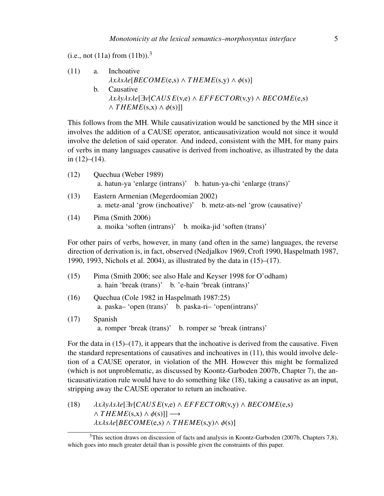(i.e., not (11a) from  $(11b)$ .<sup>3</sup>

\n- (11) a. Inchaative 
$$
\lambda x \lambda s \lambda e[BECOME(e,s) \wedge THEME(s,y) \wedge \phi(s)]
$$
\n- b. Causative  $\lambda x \lambda y \lambda s \lambda e[\exists v[CAUSE(v,e) \wedge EFFECTOR(v,y) \wedge BECOME(e,s) \wedge THEME(s,x) \wedge \phi(s)]]$
\n

This follows from the MH. While causativization would be sanctioned by the MH since it involves the addition of a CAUSE operator, anticausativization would not since it would involve the deletion of said operator. And indeed, consistent with the MH, for many pairs of verbs in many languages causative is derived from inchoative, as illustrated by the data in  $(12)–(14)$ .

| (12) | Quechua (Weber 1989)<br>a. hatun-ya 'enlarge (intrans)' b. hatun-ya-chi 'enlarge (trans)'                   |
|------|-------------------------------------------------------------------------------------------------------------|
| (13) | Eastern Armenian (Megerdoomian 2002)<br>a. metz-anal 'grow (inchoative)' b. metz-ats-nel 'grow (causative)' |
| (14) | Pima $(Smith 2006)$<br>a. moika 'soften (intrans)' b. moika-jid 'soften (trans)'                            |

For other pairs of verbs, however, in many (and often in the same) languages, the reverse direction of derivation is, in fact, observed (Nedjalkov 1969, Croft 1990, Haspelmath 1987, 1990, 1993, Nichols et al. 2004), as illustrated by the data in (15)–(17).

| (15) | Pima (Smith 2006; see also Hale and Keyser 1998 for O'odham) |
|------|--------------------------------------------------------------|
|      | a. hain 'break (trans)' b. 'e-hain 'break (intrans)'         |

- (16) Quechua (Cole 1982 in Haspelmath 1987:25) a. paska– 'open (trans)' b. paska-ri– 'open(intrans)'
- (17) Spanish a. romper 'break (trans)' b. romper se 'break (intrans)'

For the data in  $(15)$ – $(17)$ , it appears that the inchoative is derived from the causative. Fiven the standard representations of causatives and inchoatives in (11), this would involve deletion of a CAUSE operator, in violation of the MH. However this might be formalized (which is not unproblematic, as discussed by Koontz-Garboden 2007b, Chapter 7), the anticausativization rule would have to do something like (18), taking a causative as an input, stripping away the CAUSE operator to return an inchoative.

(18)  $\lambda x \lambda y \lambda s \lambda e[\exists y[CAUSE(x,e) \land EFFECTOR(x,y) \land BECOME(e,s)]$  $\land$  *THEME*(s,x)  $\land$   $\phi$ (s)]]  $\longrightarrow$ λ*x*λ*s*λ*e*[*BECOME*(e,s) <sup>∧</sup> *T HEME*(s,y)<sup>∧</sup> φ(s)]

<sup>&</sup>lt;sup>3</sup>This section draws on discussion of facts and analysis in Koontz-Garboden (2007b, Chapters 7,8), which goes into much greater detail than is possible given the constraints of this paper.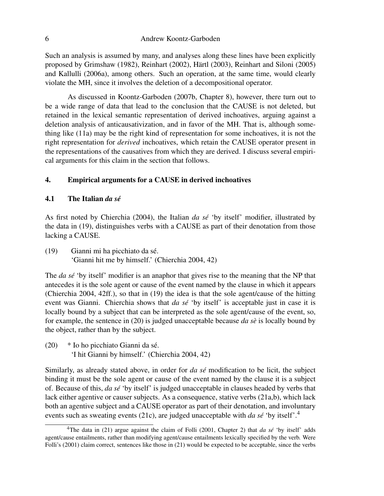Such an analysis is assumed by many, and analyses along these lines have been explicitly proposed by Grimshaw (1982), Reinhart (2002), Härtl (2003), Reinhart and Siloni (2005) and Kallulli (2006a), among others. Such an operation, at the same time, would clearly violate the MH, since it involves the deletion of a decompositional operator.

As discussed in Koontz-Garboden (2007b, Chapter 8), however, there turn out to be a wide range of data that lead to the conclusion that the CAUSE is not deleted, but retained in the lexical semantic representation of derived inchoatives, arguing against a deletion analysis of anticausativization, and in favor of the MH. That is, although something like (11a) may be the right kind of representation for some inchoatives, it is not the right representation for *derived* inchoatives, which retain the CAUSE operator present in the representations of the causatives from which they are derived. I discuss several empirical arguments for this claim in the section that follows.

### 4. Empirical arguments for a CAUSE in derived inchoatives

### 4.1 The Italian *da se´*

As first noted by Chierchia (2004), the Italian *da se´* 'by itself' modifier, illustrated by the data in (19), distinguishes verbs with a CAUSE as part of their denotation from those lacking a CAUSE.

(19) Gianni mi ha picchiato da se.´ 'Gianni hit me by himself.' (Chierchia 2004, 42)

The *da sé* 'by itself' modifier is an anaphor that gives rise to the meaning that the NP that antecedes it is the sole agent or cause of the event named by the clause in which it appears (Chierchia 2004, 42ff.), so that in (19) the idea is that the sole agent/cause of the hitting event was Gianni. Chierchia shows that *da se´* 'by itself' is acceptable just in case it is locally bound by a subject that can be interpreted as the sole agent/cause of the event, so, for example, the sentence in (20) is judged unacceptable because *da se`* is locally bound by the object, rather than by the subject.

 $(20)$  \* Io ho picchiato Gianni da sé. 'I hit Gianni by himself.' (Chierchia 2004, 42)

Similarly, as already stated above, in order for *da se´* modification to be licit, the subject binding it must be the sole agent or cause of the event named by the clause it is a subject of. Because of this, *da se´* 'by itself' is judged unacceptable in clauses headed by verbs that lack either agentive or causer subjects. As a consequence, stative verbs (21a,b), which lack both an agentive subject and a CAUSE operator as part of their denotation, and involuntary events such as sweating events (21c), are judged unacceptable with *da se´* 'by itself'.<sup>4</sup>

<sup>&</sup>lt;sup>4</sup>The data in (21) argue against the claim of Folli (2001, Chapter 2) that *da sé* 'by itself' adds agent/cause entailments, rather than modifying agent/cause entailments lexically specified by the verb. Were Folli's (2001) claim correct, sentences like those in (21) would be expected to be acceptable, since the verbs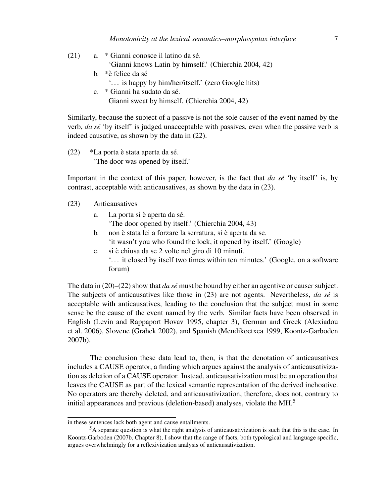- (21) a.  $*$  Gianni conosce il latino da sé. 'Gianni knows Latin by himself.' (Chierchia 2004, 42) b.  $*$ è felice da sé
	- '. . . is happy by him/her/itself.' (zero Google hits)
	- c. \* Gianni ha sudato da sé. Gianni sweat by himself. (Chierchia 2004, 42)

Similarly, because the subject of a passive is not the sole causer of the event named by the verb, *da se´* 'by itself' is judged unacceptable with passives, even when the passive verb is indeed causative, as shown by the data in (22).

 $(22)$  \*La porta è stata aperta da sé. 'The door was opened by itself.'

Important in the context of this paper, however, is the fact that *da se´* 'by itself' is, by contrast, acceptable with anticausatives, as shown by the data in (23).

- (23) Anticausatives
	- a. La porta si è aperta da sé.
		- 'The door opened by itself.' (Chierchia 2004, 43)
	- b. non è stata lei a forzare la serratura, si è aperta da se. 'it wasn't you who found the lock, it opened by itself.' (Google)
	- c. si è chiusa da se 2 volte nel giro di 10 minuti. '. . . it closed by itself two times within ten minutes.' (Google, on a software forum)

The data in (20)–(22) show that *da sé* must be bound by either an agentive or causer subject. The subjects of anticausatives like those in (23) are not agents. Nevertheless, *da se´* is acceptable with anticausatives, leading to the conclusion that the subject must in some sense be the cause of the event named by the verb. Similar facts have been observed in English (Levin and Rappaport Hovav 1995, chapter 3), German and Greek (Alexiadou et al. 2006), Slovene (Grahek 2002), and Spanish (Mendikoetxea 1999, Koontz-Garboden 2007b).

The conclusion these data lead to, then, is that the denotation of anticausatives includes a CAUSE operator, a finding which argues against the analysis of anticausativization as deletion of a CAUSE operator. Instead, anticausativization must be an operation that leaves the CAUSE as part of the lexical semantic representation of the derived inchoative. No operators are thereby deleted, and anticausativization, therefore, does not, contrary to initial appearances and previous (deletion-based) analyses, violate the MH.<sup>5</sup>

in these sentences lack both agent and cause entailments.

<sup>&</sup>lt;sup>5</sup>A separate question is what the right analysis of anticausativization is such that this is the case. In Koontz-Garboden (2007b, Chapter 8), I show that the range of facts, both typological and language specific, argues overwhelmingly for a reflexivization analysis of anticausativization.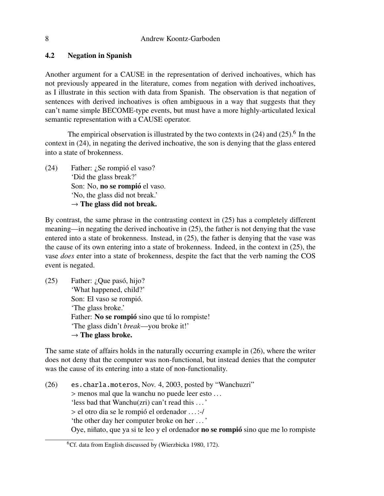# 4.2 Negation in Spanish

Another argument for a CAUSE in the representation of derived inchoatives, which has not previously appeared in the literature, comes from negation with derived inchoatives, as I illustrate in this section with data from Spanish. The observation is that negation of sentences with derived inchoatives is often ambiguous in a way that suggests that they can't name simple BECOME-type events, but must have a more highly-articulated lexical semantic representation with a CAUSE operator.

The empirical observation is illustrated by the two contexts in  $(24)$  and  $(25)$ .<sup>6</sup> In the context in (24), in negating the derived inchoative, the son is denying that the glass entered into a state of brokenness.

(24) Father:  $\lambda$  Se rompió el vaso? 'Did the glass break?' Son: No, no se rompió el vaso. 'No, the glass did not break.'  $\rightarrow$  The glass did not break.

By contrast, the same phrase in the contrasting context in (25) has a completely different meaning—in negating the derived inchoative in (25), the father is not denying that the vase entered into a state of brokenness. Instead, in (25), the father is denying that the vase was the cause of its own entering into a state of brokenness. Indeed, in the context in (25), the vase *does* enter into a state of brokenness, despite the fact that the verb naming the COS event is negated.

 $(25)$  Father: *i*, Que pasó, hijo? 'What happened, child?' Son: El vaso se rompió. 'The glass broke.' Father: No se rompió sino que tú lo rompiste! 'The glass didn't *break*—you broke it!'  $\rightarrow$  The glass broke.

The same state of affairs holds in the naturally occurring example in (26), where the writer does not deny that the computer was non-functional, but instead denies that the computer was the cause of its entering into a state of non-functionality.

(26) es.charla.moteros, Nov. 4, 2003, posted by "Wanchuzri" > menos mal que la wanchu no puede leer esto . . . 'less bad that Wanchu(zri) can't read this . . . ' > el otro dia se le rompio el ordenador . . . :-/ ´ 'the other day her computer broke on her . . . ' Oye, niñato, que ya si te leo y el ordenador **no se rompió** sino que me lo rompiste

<sup>&</sup>lt;sup>6</sup>Cf. data from English discussed by (Wierzbicka 1980, 172).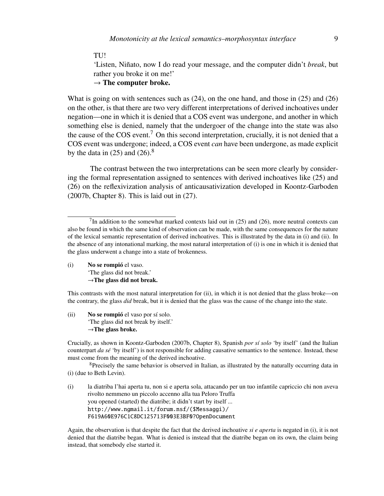### TU!

'Listen, Niñato, now I do read your message, and the computer didn't *break*, but rather you broke it on me!'

 $\rightarrow$  The computer broke.

What is going on with sentences such as (24), on the one hand, and those in (25) and (26) on the other, is that there are two very different interpretations of derived inchoatives under negation—one in which it is denied that a COS event was undergone, and another in which something else is denied, namely that the undergoer of the change into the state was also the cause of the COS event.<sup>7</sup> On this second interpretation, crucially, it is not denied that a COS event was undergone; indeed, a COS event *can* have been undergone, as made explicit by the data in  $(25)$  and  $(26)$ .<sup>8</sup>

The contrast between the two interpretations can be seen more clearly by considering the formal representation assigned to sentences with derived inchoatives like (25) and (26) on the reflexivization analysis of anticausativization developed in Koontz-Garboden (2007b, Chapter 8). This is laid out in (27).

(i) No se rompió el vaso. 'The glass did not break.'  $\rightarrow$ The glass did not break.

This contrasts with the most natural interpretation for (ii), in which it is not denied that the glass broke—on the contrary, the glass *did* break, but it is denied that the glass was the cause of the change into the state.

 $(ii)$  No se rompió el vaso por sí solo. 'The glass did not break by itself.'  $\rightarrow$ The glass broke.

Crucially, as shown in Koontz-Garboden (2007b, Chapter 8), Spanish *por s´ı solo* 'by itself' (and the Italian counterpart *da se´* 'by itself') is not responsible for adding causative semantics to the sentence. Instead, these must come from the meaning of the derived inchoative.

<sup>8</sup>Precisely the same behavior is observed in Italian, as illustrated by the naturally occurring data in (i) (due to Beth Levin).

(i) la diatriba l'hai aperta tu, non si e aperta sola, attacando per un tuo infantile capriccio chi non aveva rivolto nemmeno un piccolo accenno alla tua Peloro Truffa you opened (started) the diatribe; it didn't start by itself ... http://www.ngmail.it/forum.nsf/(\$Messaggi)/ F619A60E976C1C8DC125713F003E3BF0?OpenDocument

Again, the observation is that despite the fact that the derived inchoative *si e aperta* is negated in (i), it is not denied that the diatribe began. What is denied is instead that the diatribe began on its own, the claim being instead, that somebody else started it.

<sup>&</sup>lt;sup>7</sup>In addition to the somewhat marked contexts laid out in  $(25)$  and  $(26)$ , more neutral contexts can also be found in which the same kind of observation can be made, with the same consequences for the nature of the lexical semantic representation of derived inchoatives. This is illustrated by the data in (i) and (ii). In the absence of any intonational marking, the most natural interpretation of (i) is one in which it is denied that the glass underwent a change into a state of brokenness.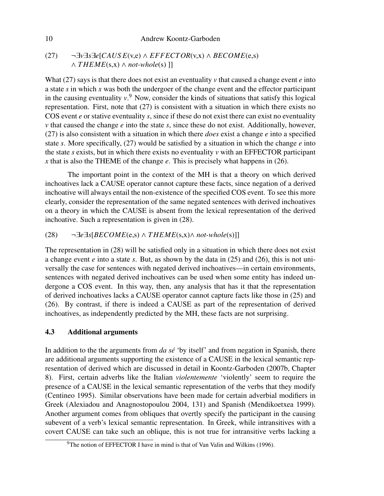10 Andrew Koontz-Garboden

(27) ¬∃*v*∃*s*∃*e*[*CAUS E*(v,e) ∧ *EFFECTOR*(v,x) ∧ *BECOME*(e,s) ∧ *T HEME*(s,x) ∧ *not-whole*(s) ]]

What (27) says is that there does not exist an eventuality  $\nu$  that caused a change event  $e$  into a state *s* in which *x* was both the undergoer of the change event and the effector participant in the causing eventuality *v*. <sup>9</sup> Now, consider the kinds of situations that satisfy this logical representation. First, note that (27) is consistent with a situation in which there exists no COS event *e* or stative eventuality *s*, since if these do not exist there can exist no eventuality *v* that caused the change *e* into the state *s*, since these do not exist. Additionally, however, (27) is also consistent with a situation in which there *does* exist a change *e* into a specified state *s*. More specifically, (27) would be satisfied by a situation in which the change *e* into the state *s* exists, but in which there exists no eventuality *v* with an EFFECTOR participant *x* that is also the THEME of the change *e*. This is precisely what happens in (26).

The important point in the context of the MH is that a theory on which derived inchoatives lack a CAUSE operator cannot capture these facts, since negation of a derived inchoative will always entail the non-existence of the specified COS event. To see this more clearly, consider the representation of the same negated sentences with derived inchoatives on a theory in which the CAUSE is absent from the lexical representation of the derived inchoative. Such a representation is given in (28).

(28) ¬∃*e*∃*s*[*BECOME*(e,s) ∧ *T HEME*(s,x)∧ *not-whole*(s)]]

The representation in (28) will be satisfied only in a situation in which there does not exist a change event *e* into a state *s*. But, as shown by the data in (25) and (26), this is not universally the case for sentences with negated derived inchoatives—in certain environments, sentences with negated derived inchoatives can be used when some entity has indeed undergone a COS event. In this way, then, any analysis that has it that the representation of derived inchoatives lacks a CAUSE operator cannot capture facts like those in (25) and (26). By contrast, if there is indeed a CAUSE as part of the representation of derived inchoatives, as independently predicted by the MH, these facts are not surprising.

# 4.3 Additional arguments

In addition to the the arguments from *da se´* 'by itself' and from negation in Spanish, there are additional arguments supporting the existence of a CAUSE in the lexical semantic representation of derived which are discussed in detail in Koontz-Garboden (2007b, Chapter 8). First, certain adverbs like the Italian *violentemente* 'violently' seem to require the presence of a CAUSE in the lexical semantic representation of the verbs that they modify (Centineo 1995). Similar observations have been made for certain adverbial modifiers in Greek (Alexiadou and Anagnostopoulou 2004, 131) and Spanish (Mendikoetxea 1999). Another argument comes from obliques that overtly specify the participant in the causing subevent of a verb's lexical semantic representation. In Greek, while intransitives with a covert CAUSE can take such an oblique, this is not true for intransitive verbs lacking a

 $9$ The notion of EFFECTOR I have in mind is that of Van Valin and Wilkins (1996).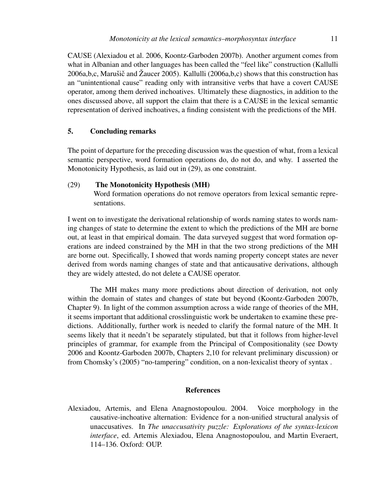CAUSE (Alexiadou et al. 2006, Koontz-Garboden 2007b). Another argument comes from what in Albanian and other languages has been called the "feel like" construction (Kallulli 2006a,b,c, Marušič and Žaucer 2005). Kallulli (2006a,b,c) shows that this construction has an "unintentional cause" reading only with intransitive verbs that have a covert CAUSE operator, among them derived inchoatives. Ultimately these diagnostics, in addition to the ones discussed above, all support the claim that there is a CAUSE in the lexical semantic representation of derived inchoatives, a finding consistent with the predictions of the MH.

# 5. Concluding remarks

The point of departure for the preceding discussion was the question of what, from a lexical semantic perspective, word formation operations do, do not do, and why. I asserted the Monotonicity Hypothesis, as laid out in (29), as one constraint.

### (29) The Monotonicity Hypothesis (MH)

Word formation operations do not remove operators from lexical semantic representations.

I went on to investigate the derivational relationship of words naming states to words naming changes of state to determine the extent to which the predictions of the MH are borne out, at least in that empirical domain. The data surveyed suggest that word formation operations are indeed constrained by the MH in that the two strong predictions of the MH are borne out. Specifically, I showed that words naming property concept states are never derived from words naming changes of state and that anticausative derivations, although they are widely attested, do not delete a CAUSE operator.

The MH makes many more predictions about direction of derivation, not only within the domain of states and changes of state but beyond (Koontz-Garboden 2007b, Chapter 9). In light of the common assumption across a wide range of theories of the MH, it seems important that additional crosslinguistic work be undertaken to examine these predictions. Additionally, further work is needed to clarify the formal nature of the MH. It seems likely that it needn't be separately stipulated, but that it follows from higher-level principles of grammar, for example from the Principal of Compositionality (see Dowty 2006 and Koontz-Garboden 2007b, Chapters 2,10 for relevant preliminary discussion) or from Chomsky's (2005) "no-tampering" condition, on a non-lexicalist theory of syntax .

#### References

Alexiadou, Artemis, and Elena Anagnostopoulou. 2004. Voice morphology in the causative-inchoative alternation: Evidence for a non-unified structural analysis of unaccusatives. In *The unaccusativity puzzle: Explorations of the syntax-lexicon interface*, ed. Artemis Alexiadou, Elena Anagnostopoulou, and Martin Everaert, 114–136. Oxford: OUP.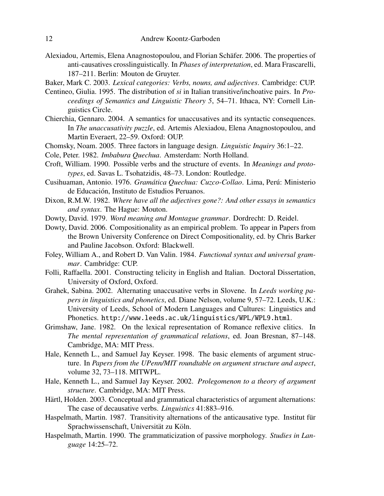- Alexiadou, Artemis, Elena Anagnostopoulou, and Florian Schafer. 2006. The properties of ¨ anti-causatives crosslinguistically. In *Phases of interpretation*, ed. Mara Frascarelli, 187–211. Berlin: Mouton de Gruyter.
- Baker, Mark C. 2003. *Lexical categories: Verbs, nouns, and adjectives*. Cambridge: CUP.
- Centineo, Giulia. 1995. The distribution of *si* in Italian transitive/inchoative pairs. In *Proceedings of Semantics and Linguistic Theory 5*, 54–71. Ithaca, NY: Cornell Linguistics Circle.
- Chierchia, Gennaro. 2004. A semantics for unaccusatives and its syntactic consequences. In *The unaccusativity puzzle*, ed. Artemis Alexiadou, Elena Anagnostopoulou, and Martin Everaert, 22–59. Oxford: OUP.
- Chomsky, Noam. 2005. Three factors in language design. *Linguistic Inquiry* 36:1–22.
- Cole, Peter. 1982. *Imbabura Quechua*. Amsterdam: North Holland.
- Croft, William. 1990. Possible verbs and the structure of events. In *Meanings and prototypes*, ed. Savas L. Tsohatzidis, 48–73. London: Routledge.
- Cusihuaman, Antonio. 1976. *Gramática Quechua: Cuzco-Collao*. Lima, Perú: Ministerio de Educación, Instituto de Estudios Peruanos.
- Dixon, R.M.W. 1982. *Where have all the adjectives gone?: And other essays in semantics and syntax*. The Hague: Mouton.
- Dowty, David. 1979. *Word meaning and Montague grammar*. Dordrecht: D. Reidel.
- Dowty, David. 2006. Compositionality as an empirical problem. To appear in Papers from the Brown University Conference on Direct Compositionality, ed. by Chris Barker and Pauline Jacobson. Oxford: Blackwell.
- Foley, William A., and Robert D. Van Valin. 1984. *Functional syntax and universal grammar*. Cambridge: CUP.
- Folli, Raffaella. 2001. Constructing telicity in English and Italian. Doctoral Dissertation, University of Oxford, Oxford.
- Grahek, Sabina. 2002. Alternating unaccusative verbs in Slovene. In *Leeds working papers in linguistics and phonetics*, ed. Diane Nelson, volume 9, 57–72. Leeds, U.K.: University of Leeds, School of Modern Languages and Cultures: Linguistics and Phonetics. http://www.leeds.ac.uk/linguistics/WPL/WPL9.html.
- Grimshaw, Jane. 1982. On the lexical representation of Romance reflexive clitics. In *The mental representation of grammatical relations*, ed. Joan Bresnan, 87–148. Cambridge, MA: MIT Press.
- Hale, Kenneth L., and Samuel Jay Keyser. 1998. The basic elements of argument structure. In *Papers from the UPenn/MIT roundtable on argument structure and aspect*, volume 32, 73–118. MITWPL.
- Hale, Kenneth L., and Samuel Jay Keyser. 2002. *Prolegomenon to a theory of argument structure*. Cambridge, MA: MIT Press.
- Härtl, Holden. 2003. Conceptual and grammatical characteristics of argument alternations: The case of decausative verbs. *Linguistics* 41:883–916.
- Haspelmath, Martin. 1987. Transitivity alternations of the anticausative type. Institut für Sprachwissenschaft, Universität zu Köln.
- Haspelmath, Martin. 1990. The grammaticization of passive morphology. *Studies in Language* 14:25–72.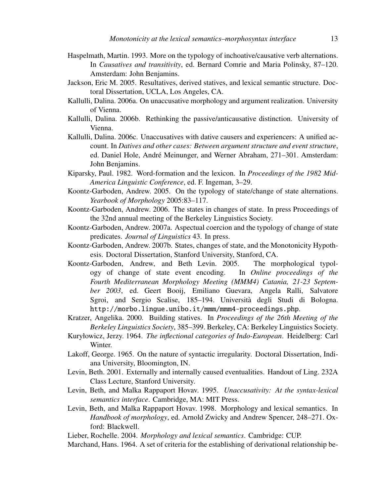- Haspelmath, Martin. 1993. More on the typology of inchoative/causative verb alternations. In *Causatives and transitivity*, ed. Bernard Comrie and Maria Polinsky, 87–120. Amsterdam: John Benjamins.
- Jackson, Eric M. 2005. Resultatives, derived statives, and lexical semantic structure. Doctoral Dissertation, UCLA, Los Angeles, CA.
- Kallulli, Dalina. 2006a. On unaccusative morphology and argument realization. University of Vienna.
- Kallulli, Dalina. 2006b. Rethinking the passive/anticausative distinction. University of Vienna.
- Kallulli, Dalina. 2006c. Unaccusatives with dative causers and experiencers: A unified account. In *Datives and other cases: Between argument structure and event structure*, ed. Daniel Hole, André Meinunger, and Werner Abraham, 271–301. Amsterdam: John Benjamins.
- Kiparsky, Paul. 1982. Word-formation and the lexicon. In *Proceedings of the 1982 Mid-America Linguistic Conference*, ed. F. Ingeman, 3–29.
- Koontz-Garboden, Andrew. 2005. On the typology of state/change of state alternations. *Yearbook of Morphology* 2005:83–117.
- Koontz-Garboden, Andrew. 2006. The states in changes of state. In press Proceedings of the 32nd annual meeting of the Berkeley Linguistics Society.
- Koontz-Garboden, Andrew. 2007a. Aspectual coercion and the typology of change of state predicates. *Journal of Linguistics* 43. In press.
- Koontz-Garboden, Andrew. 2007b. States, changes of state, and the Monotonicity Hypothesis. Doctoral Dissertation, Stanford University, Stanford, CA.
- Koontz-Garboden, Andrew, and Beth Levin. 2005. The morphological typology of change of state event encoding. In *Online proceedings of the Fourth Mediterranean Morphology Meeting (MMM4) Catania, 21-23 September 2003*, ed. Geert Booij, Emiliano Guevara, Angela Ralli, Salvatore Sgroi, and Sergio Scalise, 185–194. Università degli Studi di Bologna. http://morbo.lingue.unibo.it/mmm/mmm4-proceedings.php.
- Kratzer, Angelika. 2000. Building statives. In *Proceedings of the 26th Meeting of the Berkeley Linguistics Society*, 385–399. Berkeley, CA: Berkeley Linguistics Society.
- Kuryłowicz, Jerzy. 1964. *The inflectional categories of Indo-European*. Heidelberg: Carl Winter.
- Lakoff, George. 1965. On the nature of syntactic irregularity. Doctoral Dissertation, Indiana University, Bloomington, IN.
- Levin, Beth. 2001. Externally and internally caused eventualities. Handout of Ling. 232A Class Lecture, Stanford University.
- Levin, Beth, and Malka Rappaport Hovav. 1995. *Unaccusativity: At the syntax-lexical semantics interface*. Cambridge, MA: MIT Press.
- Levin, Beth, and Malka Rappaport Hovav. 1998. Morphology and lexical semantics. In *Handbook of morphology*, ed. Arnold Zwicky and Andrew Spencer, 248–271. Oxford: Blackwell.
- Lieber, Rochelle. 2004. *Morphology and lexical semantics*. Cambridge: CUP.
- Marchand, Hans. 1964. A set of criteria for the establishing of derivational relationship be-